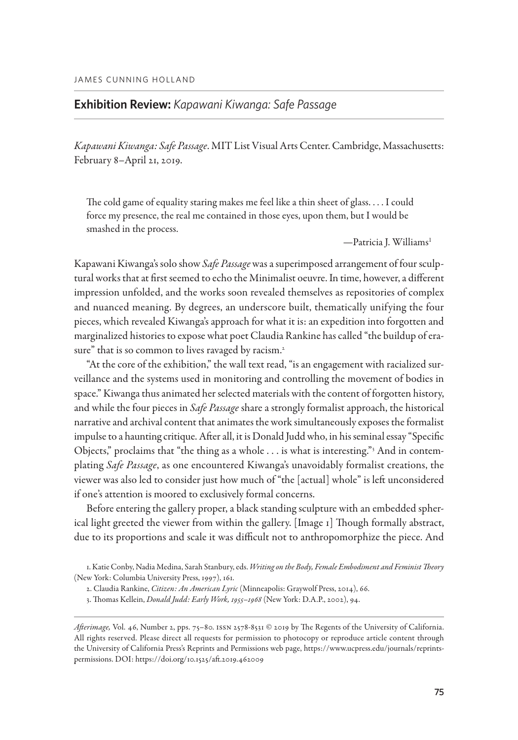## **Exhibition Review:** *Kapawani Kiwanga: Safe Passage*

*Kapawani Kiwanga: Safe Passage*. MIT List Visual Arts Center. Cambridge, Massachusetts: February 8–April 21, 2019.

The cold game of equality staring makes me feel like a thin sheet of glass. . . . I could force my presence, the real me contained in those eyes, upon them, but I would be smashed in the process.

—Patricia J. Williams1

Kapawani Kiwanga's solo show *Safe Passage* was a superimposed arrangement of four sculptural works that at first seemed to echo the Minimalist oeuvre. In time, however, a different impression unfolded, and the works soon revealed themselves as repositories of complex and nuanced meaning. By degrees, an underscore built, thematically unifying the four pieces, which revealed Kiwanga's approach for what it is: an expedition into forgotten and marginalized histories to expose what poet Claudia Rankine has called "the buildup of erasure" that is so common to lives ravaged by racism.<sup>2</sup>

DAMES CUNNING HOLLAND<br> **Exhibition Review:** *Kapawani Kiwanga: Safe Passage*<br> *Kapawani Kiwanga: Safe Passage.* MIT List Visual Arts Center. Cambridge, Massa<br>
February 8-April 11, 201[9](https://doi.org/10.1525/aft.2019.462009).<br>
The cold game of equality stating "At the core of the exhibition," the wall text read, "is an engagement with racialized surveillance and the systems used in monitoring and controlling the movement of bodies in space." Kiwanga thus animated her selected materials with the content of forgotten history, and while the four pieces in *Safe Passage* share a strongly formalist approach, the historical narrative and archival content that animates the work simultaneously exposes the formalist impulse to a haunting critique. After all, it is Donald Judd who, in his seminal essay "Specific Objects," proclaims that "the thing as a whole . . . is what is interesting."<sup>3</sup> And in contemplating *Safe Passage*, as one encountered Kiwanga's unavoidably formalist creations, the viewer was also led to consider just how much of "the [actual] whole" is left unconsidered if one's attention is moored to exclusively formal concerns.

Before entering the gallery proper, a black standing sculpture with an embedded spherical light greeted the viewer from within the gallery. [[Image 1\]](#page-1-0) Though formally abstract, due to its proportions and scale it was difficult not to anthropomorphize the piece. And

1. Katie Conby, Nadia Medina, Sarah Stanbury, eds. *Writing on the Body, Female Embodiment and Feminist Theory* (New York: Columbia University Press, 1997), 161.

<sup>2.</sup> Claudia Rankine, *Citizen: An American Lyric* (Minneapolis: Graywolf Press, 2014), 66.

<sup>3.</sup> Thomas Kellein, *Donald Judd: Early Work, 1955–1968* (New York: D.A.P., 2002), 94.

Afterimage, Vol. 46, Number 2, pps. 75-80. ISSN 2578-8531 © 2019 by The Regents of the University of California. All rights reserved. Please direct all requests for permission to photocopy or reproduce article content through the University of California Press's Reprints and Permissions web page, [https://www.ucpress.edu/journals/reprints](https://www.ucpress.edu/journals/reprints-permissions)[permissions.](https://www.ucpress.edu/journals/reprints-permissions) DOI: https://doi.org/10.1525/aft.2019.462001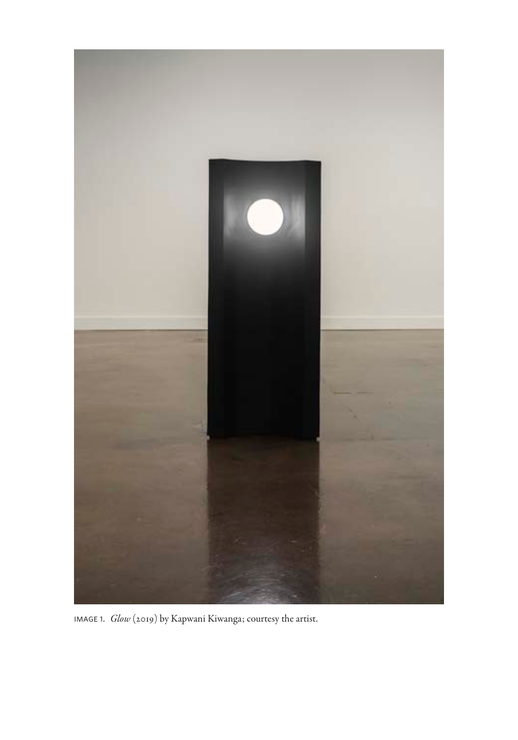<span id="page-1-0"></span>

image 1. *Glow* (2019) by Kapwani Kiwanga; courtesy the artist.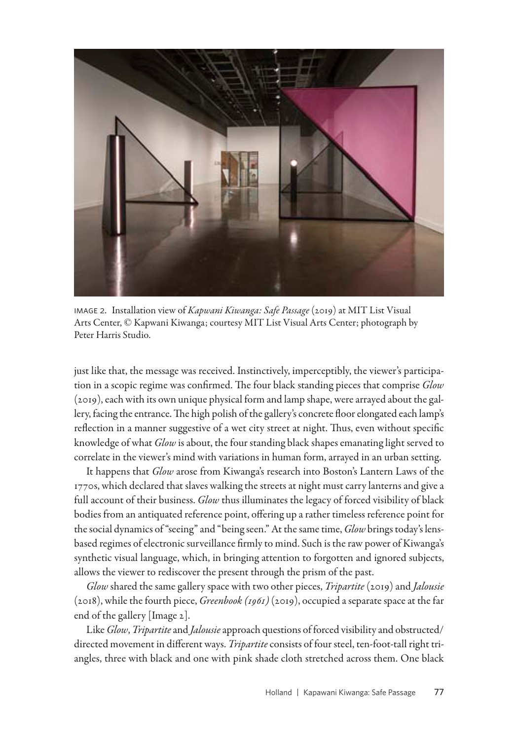

image 2. Installation view of *Kapwani Kiwanga: Safe Passage* (2019) at MIT List Visual Arts Center, © Kapwani Kiwanga; courtesy MIT List Visual Arts Center; photograph by Peter Harris Studio.

<span id="page-2-0"></span>just like that, the message was received. Instinctively, imperceptibly, the viewer's participation in a scopic regime was confirmed. The four black standing pieces that comprise *Glow* (2019), each with its own unique physical form and lamp shape, were arrayed about the gallery, facing the entrance. The high polish of the gallery's concrete floor elongated each lamp's reflection in a manner suggestive of a wet city street at night. Thus, even without specific knowledge of what *Glow* is about, the four standing black shapes emanating light served to correlate in the viewer's mind with variations in human form, arrayed in an urban setting.

It happens that *Glow* arose from Kiwanga's research into Boston's Lantern Laws of the 1770s, which declared that slaves walking the streets at night must carry lanterns and give a full account of their business. *Glow* thus illuminates the legacy of forced visibility of black bodies from an antiquated reference point, offering up a rather timeless reference point for the social dynamics of "seeing" and "being seen." At the same time, *Glow* brings today's lensbased regimes of electronic surveillance firmly to mind. Such is the raw power of Kiwanga's synthetic visual language, which, in bringing attention to forgotten and ignored subjects, allows the viewer to rediscover the present through the prism of the past.

*Glow* shared the same gallery space with two other pieces, *Tripartite* (2019) and *Jalousie* (2018), while the fourth piece, *Greenbook (1961)* (2019), occupied a separate space at the far end of the gallery [[Image 2](#page-2-0)].

Like *Glow*, *Tripartite* and *Jalousie* approach questions of forced visibility and obstructed/ directed movement in different ways. *Tripartite* consists of four steel, ten-foot-tall right triangles, three with black and one with pink shade cloth stretched across them. One black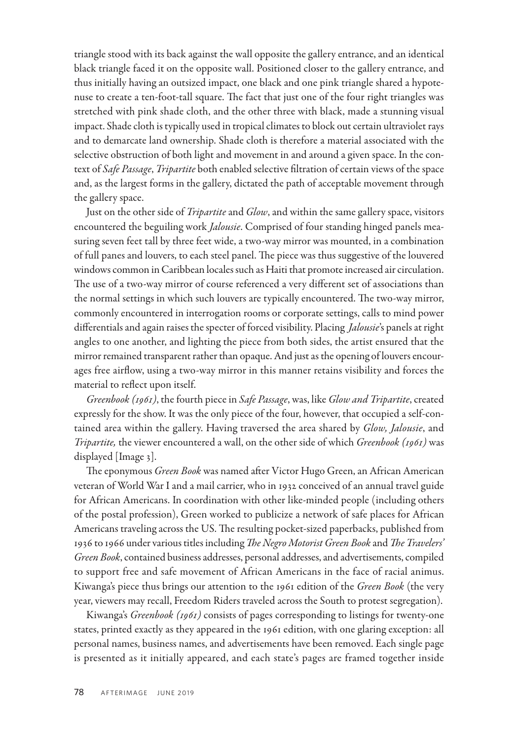triangle stood with its back against the wall opposite the gallery entrance, and an identical black triangle faced it on the opposite wall. Positioned closer to the gallery entrance, and thus initially having an outsized impact, one black and one pink triangle shared a hypotenuse to create a ten-foot-tall square. The fact that just one of the four right triangles was stretched with pink shade cloth, and the other three with black, made a stunning visual impact. Shade cloth is typically used in tropical climates to block out certain ultraviolet rays and to demarcate land ownership. Shade cloth is therefore a material associated with the selective obstruction of both light and movement in and around a given space. In the context of *Safe Passage*, *Tripartite* both enabled selective filtration of certain views of the space and, as the largest forms in the gallery, dictated the path of acceptable movement through the gallery space.

Just on the other side of *Tripartite* and *Glow*, and within the same gallery space, visitors encountered the beguiling work *Jalousie*. Comprised of four standing hinged panels measuring seven feet tall by three feet wide, a two-way mirror was mounted, in a combination of full panes and louvers, to each steel panel. The piece was thus suggestive of the louvered windows common in Caribbean locales such as Haiti that promote increased air circulation. The use of a two-way mirror of course referenced a very different set of associations than the normal settings in which such louvers are typically encountered. The two-way mirror, commonly encountered in interrogation rooms or corporate settings, calls to mind power differentials and again raises the specter of forced visibility. Placing *Jalousie*'s panels at right angles to one another, and lighting the piece from both sides, the artist ensured that the mirror remained transparent rather than opaque. And just as the opening of louvers encourages free airflow, using a two-way mirror in this manner retains visibility and forces the material to reflect upon itself.

*Greenbook (1961)*, the fourth piece in *Safe Passage*, was, like *Glow and Tripartite*, created expressly for the show. It was the only piece of the four, however, that occupied a self-contained area within the gallery. Having traversed the area shared by *Glow, Jalousie*, and *Tripartite,* the viewer encountered a wall, on the other side of which *Greenbook (1961)* was displayed [[Image 3](#page-4-0)].

The eponymous *Green Book* was named after Victor Hugo Green, an African American veteran of World War I and a mail carrier, who in 1932 conceived of an annual travel guide for African Americans. In coordination with other like-minded people (including others of the postal profession), Green worked to publicize a network of safe places for African Americans traveling across the US. The resulting pocket-sized paperbacks, published from 1936 to 1966 under various titles including *The Negro Motorist Green Book* and *The Travelers' Green Book*, contained business addresses, personal addresses, and advertisements, compiled to support free and safe movement of African Americans in the face of racial animus. Kiwanga's piece thus brings our attention to the 1961 edition of the *Green Book* (the very year, viewers may recall, Freedom Riders traveled across the South to protest segregation).

Kiwanga's *Greenbook (1961)* consists of pages corresponding to listings for twenty-one states, printed exactly as they appeared in the 1961 edition, with one glaring exception: all personal names, business names, and advertisements have been removed. Each single page is presented as it initially appeared, and each state's pages are framed together inside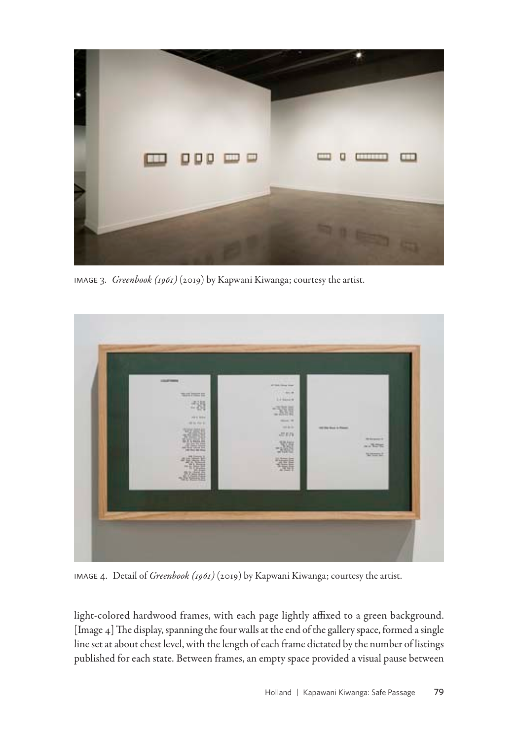

image 3. *Greenbook (1961)* (2019) by Kapwani Kiwanga; courtesy the artist.

<span id="page-4-0"></span>

image 4. Detail of *Greenbook (1961)* (2019) by Kapwani Kiwanga; courtesy the artist.

<span id="page-4-1"></span>light-colored hardwood frames, with each page lightly affixed to a green background. [[Image 4\]](#page-4-1) The display, spanning the four walls at the end of the gallery space, formed a single line set at about chest level, with the length of each frame dictated by the number of listings published for each state. Between frames, an empty space provided a visual pause between